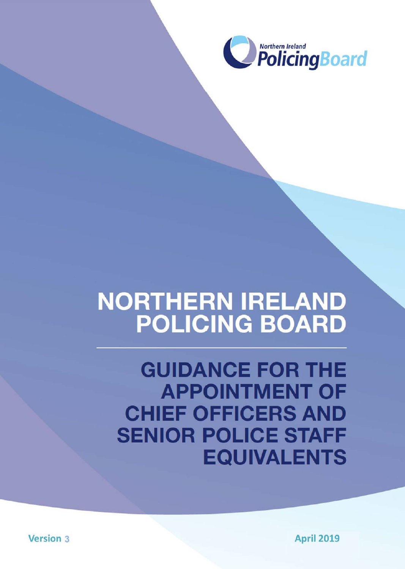

# NORTHERN IRELAND **POLICING BOARD**

**GUIDANCE FOR THE APPOINTMENT OF** 

## **CHIEF OFFICERS AND SENIOR POLICE STAFF EQUIVALENTS**

**Version 3** 

**April 2019**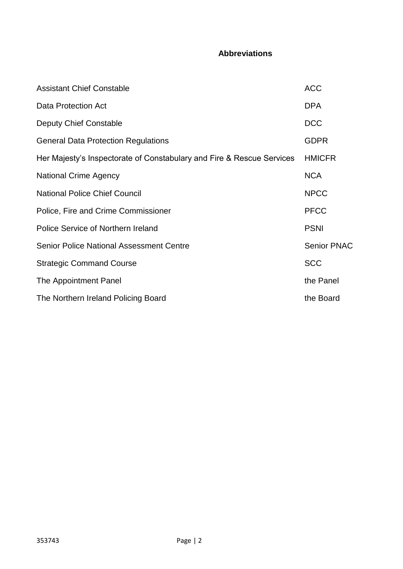### **Abbreviations**

| <b>Assistant Chief Constable</b>                                      | <b>ACC</b>         |
|-----------------------------------------------------------------------|--------------------|
| Data Protection Act                                                   | <b>DPA</b>         |
| Deputy Chief Constable                                                | <b>DCC</b>         |
| <b>General Data Protection Regulations</b>                            | <b>GDPR</b>        |
| Her Majesty's Inspectorate of Constabulary and Fire & Rescue Services | <b>HMICFR</b>      |
| <b>National Crime Agency</b>                                          | <b>NCA</b>         |
| <b>National Police Chief Council</b>                                  | <b>NPCC</b>        |
| Police, Fire and Crime Commissioner                                   | <b>PFCC</b>        |
| Police Service of Northern Ireland                                    | <b>PSNI</b>        |
| <b>Senior Police National Assessment Centre</b>                       | <b>Senior PNAC</b> |
| <b>Strategic Command Course</b>                                       | <b>SCC</b>         |
| The Appointment Panel                                                 | the Panel          |
| The Northern Ireland Policing Board                                   | the Board          |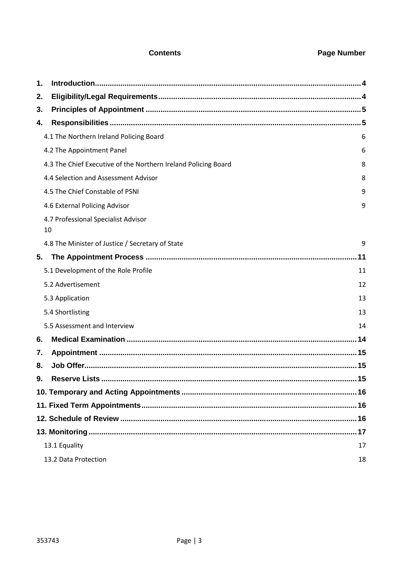#### **Contents Contents Page Number**

| 1. |                                                                |    |
|----|----------------------------------------------------------------|----|
| 2. |                                                                |    |
| 3. |                                                                |    |
| 4. |                                                                |    |
|    | 4.1 The Northern Ireland Policing Board                        | 6  |
|    | 4.2 The Appointment Panel                                      | 6  |
|    | 4.3 The Chief Executive of the Northern Ireland Policing Board | 8  |
|    | 4.4 Selection and Assessment Advisor                           | 8  |
|    | 4.5 The Chief Constable of PSNI                                | 9  |
|    | 4.6 External Policing Advisor                                  | 9  |
|    | 4.7 Professional Specialist Advisor<br>10                      |    |
|    | 4.8 The Minister of Justice / Secretary of State               | 9  |
| 5. |                                                                |    |
|    | 5.1 Development of the Role Profile                            | 11 |
|    | 5.2 Advertisement                                              | 12 |
|    | 5.3 Application                                                | 13 |
|    | 5.4 Shortlisting                                               | 13 |
|    | 5.5 Assessment and Interview                                   | 14 |
| 6. |                                                                |    |
| 7. |                                                                |    |
| 8. |                                                                |    |
| 9. |                                                                |    |
|    |                                                                |    |
|    |                                                                |    |
|    |                                                                |    |
|    |                                                                |    |
|    | 13.1 Equality                                                  | 17 |
|    | 13.2 Data Protection                                           | 18 |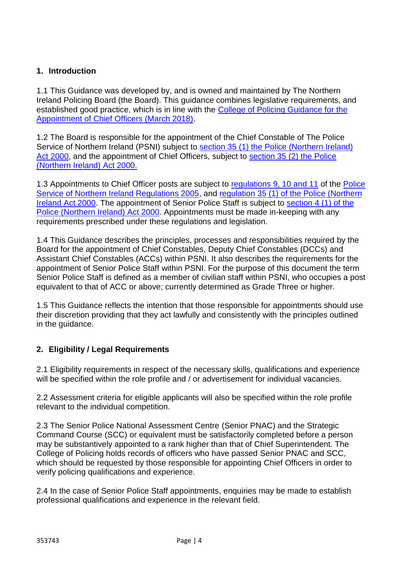#### <span id="page-3-0"></span>**1. Introduction**

1.1 This Guidance was developed by, and is owned and maintained by The Northern Ireland Policing Board (the Board). This guidance combines legislative requirements, and established good practice, which is in line with the [College of Policing Guidance for the](https://www.college.police.uk/What-we-do/Support/Health-safety/Documents/6.3716_Guidance_for_appointment_v18.pdf)  [Appointment of Chief Officers \(March 2018\).](https://www.college.police.uk/What-we-do/Support/Health-safety/Documents/6.3716_Guidance_for_appointment_v18.pdf)

1.2 The Board is responsible for the appointment of the Chief Constable of The Police Service of Northern Ireland (PSNI) subject to [section 35 \(1\) the Police \(Northern Ireland\)](http://www.legislation.gov.uk/ukpga/2000/32/section/35)  [Act 2000,](http://www.legislation.gov.uk/ukpga/2000/32/section/35) and the appointment of Chief Officers, subject to [section 35 \(2\) the Police](http://www.legislation.gov.uk/ukpga/2000/32/section/35)  [\(Northern Ireland\) Act 2000.](http://www.legislation.gov.uk/ukpga/2000/32/section/35)

1.3 Appointments to Chief Officer posts are subject to [regulations 9, 10 and 11](http://www.legislation.gov.uk/nisr/2005/547/regulation/9/made) of the [Police](http://www.legislation.gov.uk/nisr/2005/547/contents/made)  [Service of Northern Ireland Regulations 2005,](http://www.legislation.gov.uk/nisr/2005/547/contents/made) and [regulation 35 \(1\) of the Police \(Northern](http://www.legislation.gov.uk/ukpga/2000/32/section/35)  [Ireland Act 2000.](http://www.legislation.gov.uk/ukpga/2000/32/section/35) The appointment of Senior Police Staff is subject to [section 4 \(1\) of the](http://www.legislation.gov.uk/ukpga/2000/32/section/4)  [Police \(Northern Ireland\) Act 2000.](http://www.legislation.gov.uk/ukpga/2000/32/section/4) Appointments must be made in-keeping with any requirements prescribed under these regulations and legislation.

1.4 This Guidance describes the principles, processes and responsibilities required by the Board for the appointment of Chief Constables, Deputy Chief Constables (DCCs) and Assistant Chief Constables (ACCs) within PSNI. It also describes the requirements for the appointment of Senior Police Staff within PSNI. For the purpose of this document the term Senior Police Staff is defined as a member of civilian staff within PSNI, who occupies a post equivalent to that of ACC or above; currently determined as Grade Three or higher.

1.5 This Guidance reflects the intention that those responsible for appointments should use their discretion providing that they act lawfully and consistently with the principles outlined in the guidance.

#### <span id="page-3-1"></span>**2. Eligibility / Legal Requirements**

2.1 Eligibility requirements in respect of the necessary skills, qualifications and experience will be specified within the role profile and / or advertisement for individual vacancies.

2.2 Assessment criteria for eligible applicants will also be specified within the role profile relevant to the individual competition.

2.3 The Senior Police National Assessment Centre (Senior PNAC) and the Strategic Command Course (SCC) or equivalent must be satisfactorily completed before a person may be substantively appointed to a rank higher than that of Chief Superintendent. The College of Policing holds records of officers who have passed Senior PNAC and SCC, which should be requested by those responsible for appointing Chief Officers in order to verify policing qualifications and experience.

2.4 In the case of Senior Police Staff appointments, enquiries may be made to establish professional qualifications and experience in the relevant field.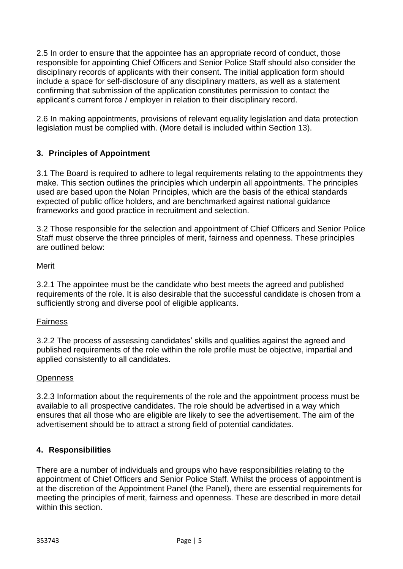2.5 In order to ensure that the appointee has an appropriate record of conduct, those responsible for appointing Chief Officers and Senior Police Staff should also consider the disciplinary records of applicants with their consent. The initial application form should include a space for self-disclosure of any disciplinary matters, as well as a statement confirming that submission of the application constitutes permission to contact the applicant's current force / employer in relation to their disciplinary record.

2.6 In making appointments, provisions of relevant equality legislation and data protection legislation must be complied with. (More detail is included within Section 13).

#### <span id="page-4-0"></span>**3. Principles of Appointment**

3.1 The Board is required to adhere to legal requirements relating to the appointments they make. This section outlines the principles which underpin all appointments. The principles used are based upon the Nolan Principles, which are the basis of the ethical standards expected of public office holders, and are benchmarked against national guidance frameworks and good practice in recruitment and selection.

3.2 Those responsible for the selection and appointment of Chief Officers and Senior Police Staff must observe the three principles of merit, fairness and openness. These principles are outlined below:

#### Merit

3.2.1 The appointee must be the candidate who best meets the agreed and published requirements of the role. It is also desirable that the successful candidate is chosen from a sufficiently strong and diverse pool of eligible applicants.

#### **Fairness**

3.2.2 The process of assessing candidates' skills and qualities against the agreed and published requirements of the role within the role profile must be objective, impartial and applied consistently to all candidates.

#### **Openness**

3.2.3 Information about the requirements of the role and the appointment process must be available to all prospective candidates. The role should be advertised in a way which ensures that all those who are eligible are likely to see the advertisement. The aim of the advertisement should be to attract a strong field of potential candidates.

#### <span id="page-4-1"></span>**4. Responsibilities**

There are a number of individuals and groups who have responsibilities relating to the appointment of Chief Officers and Senior Police Staff. Whilst the process of appointment is at the discretion of the Appointment Panel (the Panel), there are essential requirements for meeting the principles of merit, fairness and openness. These are described in more detail within this section.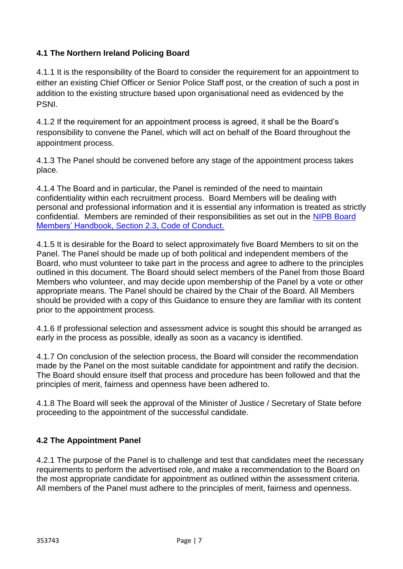#### **4.1 The Northern Ireland Policing Board**

4.1.1 It is the responsibility of the Board to consider the requirement for an appointment to either an existing Chief Officer or Senior Police Staff post, or the creation of such a post in addition to the existing structure based upon organisational need as evidenced by the PSNI.

4.1.2 If the requirement for an appointment process is agreed, it shall be the Board's responsibility to convene the Panel, which will act on behalf of the Board throughout the appointment process.

4.1.3 The Panel should be convened before any stage of the appointment process takes place.

4.1.4 The Board and in particular, the Panel is reminded of the need to maintain confidentiality within each recruitment process. Board Members will be dealing with personal and professional information and it is essential any information is treated as strictly confidential. Members are reminded of their responsibilities as set out in the [NIPB Board](https://www.nipolicingboard.org.uk/sites/nipb/files/media-files/code-of-conduct-for-board-members.PDF)  [Members' Handbook, Section 2.3, Code of Conduct.](https://www.nipolicingboard.org.uk/sites/nipb/files/media-files/code-of-conduct-for-board-members.PDF)

4.1.5 It is desirable for the Board to select approximately five Board Members to sit on the Panel. The Panel should be made up of both political and independent members of the Board, who must volunteer to take part in the process and agree to adhere to the principles outlined in this document. The Board should select members of the Panel from those Board Members who volunteer, and may decide upon membership of the Panel by a vote or other appropriate means. The Panel should be chaired by the Chair of the Board. All Members should be provided with a copy of this Guidance to ensure they are familiar with its content prior to the appointment process.

4.1.6 If professional selection and assessment advice is sought this should be arranged as early in the process as possible, ideally as soon as a vacancy is identified.

4.1.7 On conclusion of the selection process, the Board will consider the recommendation made by the Panel on the most suitable candidate for appointment and ratify the decision. The Board should ensure itself that process and procedure has been followed and that the principles of merit, fairness and openness have been adhered to.

4.1.8 The Board will seek the approval of the Minister of Justice / Secretary of State before proceeding to the appointment of the successful candidate.

#### <span id="page-6-0"></span>**4.2 The Appointment Panel**

4.2.1 The purpose of the Panel is to challenge and test that candidates meet the necessary requirements to perform the advertised role, and make a recommendation to the Board on the most appropriate candidate for appointment as outlined within the assessment criteria. All members of the Panel must adhere to the principles of merit, fairness and openness.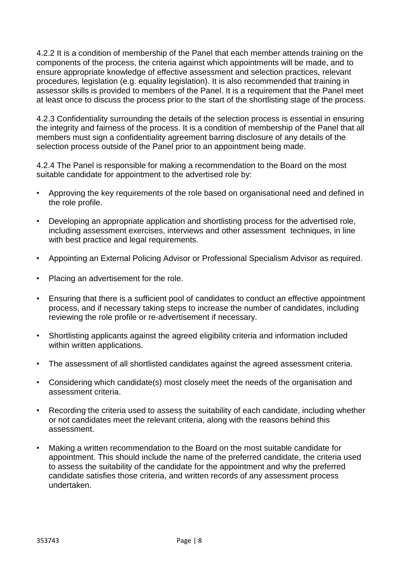4.2.2 It is a condition of membership of the Panel that each member attends training on the components of the process, the criteria against which appointments will be made, and to ensure appropriate knowledge of effective assessment and selection practices, relevant procedures, legislation (e.g. equality legislation). It is also recommended that training in assessor skills is provided to members of the Panel. It is a requirement that the Panel meet at least once to discuss the process prior to the start of the shortlisting stage of the process.

4.2.3 Confidentiality surrounding the details of the selection process is essential in ensuring the integrity and fairness of the process. It is a condition of membership of the Panel that all members must sign a confidentiality agreement barring disclosure of any details of the selection process outside of the Panel prior to an appointment being made.

4.2.4 The Panel is responsible for making a recommendation to the Board on the most suitable candidate for appointment to the advertised role by:

- Approving the key requirements of the role based on organisational need and defined in the role profile.
- Developing an appropriate application and shortlisting process for the advertised role, including assessment exercises, interviews and other assessment techniques, in line with best practice and legal requirements.
- Appointing an External Policing Advisor or Professional Specialism Advisor as required.
- Placing an advertisement for the role.
- Ensuring that there is a sufficient pool of candidates to conduct an effective appointment process, and if necessary taking steps to increase the number of candidates, including reviewing the role profile or re-advertisement if necessary.
- Shortlisting applicants against the agreed eligibility criteria and information included within written applications.
- The assessment of all shortlisted candidates against the agreed assessment criteria.
- Considering which candidate(s) most closely meet the needs of the organisation and assessment criteria.
- Recording the criteria used to assess the suitability of each candidate, including whether or not candidates meet the relevant criteria, along with the reasons behind this assessment.
- Making a written recommendation to the Board on the most suitable candidate for appointment. This should include the name of the preferred candidate, the criteria used to assess the suitability of the candidate for the appointment and why the preferred candidate satisfies those criteria, and written records of any assessment process undertaken.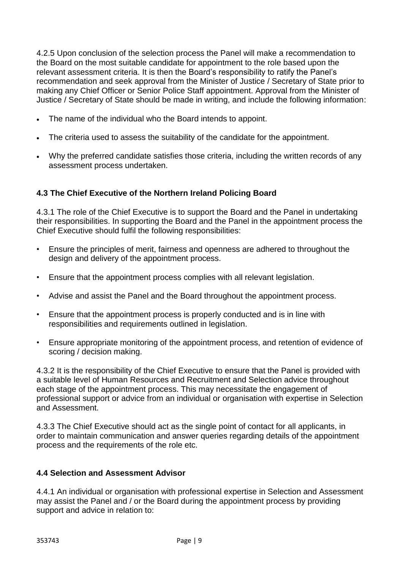4.2.5 Upon conclusion of the selection process the Panel will make a recommendation to the Board on the most suitable candidate for appointment to the role based upon the relevant assessment criteria. It is then the Board's responsibility to ratify the Panel's recommendation and seek approval from the Minister of Justice / Secretary of State prior to making any Chief Officer or Senior Police Staff appointment. Approval from the Minister of Justice / Secretary of State should be made in writing, and include the following information:

- The name of the individual who the Board intends to appoint.
- The criteria used to assess the suitability of the candidate for the appointment.
- Why the preferred candidate satisfies those criteria, including the written records of any assessment process undertaken.

#### <span id="page-8-0"></span>**4.3 The Chief Executive of the Northern Ireland Policing Board**

4.3.1 The role of the Chief Executive is to support the Board and the Panel in undertaking their responsibilities. In supporting the Board and the Panel in the appointment process the Chief Executive should fulfil the following responsibilities:

- Ensure the principles of merit, fairness and openness are adhered to throughout the design and delivery of the appointment process.
- Ensure that the appointment process complies with all relevant legislation.
- Advise and assist the Panel and the Board throughout the appointment process.
- Ensure that the appointment process is properly conducted and is in line with responsibilities and requirements outlined in legislation.
- Ensure appropriate monitoring of the appointment process, and retention of evidence of scoring / decision making.

4.3.2 It is the responsibility of the Chief Executive to ensure that the Panel is provided with a suitable level of Human Resources and Recruitment and Selection advice throughout each stage of the appointment process. This may necessitate the engagement of professional support or advice from an individual or organisation with expertise in Selection and Assessment.

4.3.3 The Chief Executive should act as the single point of contact for all applicants, in order to maintain communication and answer queries regarding details of the appointment process and the requirements of the role etc.

#### <span id="page-8-1"></span>**4.4 Selection and Assessment Advisor**

4.4.1 An individual or organisation with professional expertise in Selection and Assessment may assist the Panel and / or the Board during the appointment process by providing support and advice in relation to: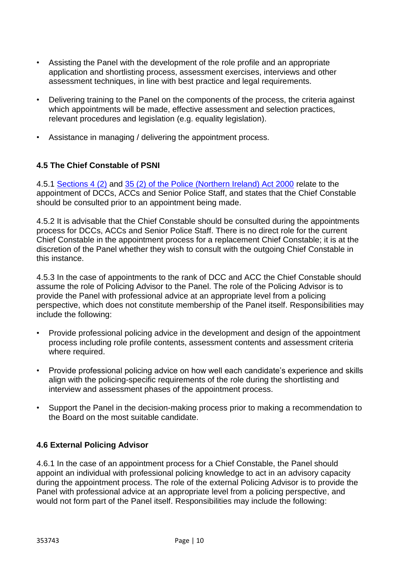- Assisting the Panel with the development of the role profile and an appropriate application and shortlisting process, assessment exercises, interviews and other assessment techniques, in line with best practice and legal requirements.
- Delivering training to the Panel on the components of the process, the criteria against which appointments will be made, effective assessment and selection practices, relevant procedures and legislation (e.g. equality legislation).
- Assistance in managing / delivering the appointment process.

#### <span id="page-9-0"></span>**4.5 The Chief Constable of PSNI**

4.5.1 [Sections 4 \(2\)](http://www.legislation.gov.uk/ukpga/2000/32/section/4) and [35 \(2\) of the Police \(Northern Ireland\) Act 2000](http://www.legislation.gov.uk/ukpga/2000/32/section/35) relate to the appointment of DCCs, ACCs and Senior Police Staff, and states that the Chief Constable should be consulted prior to an appointment being made.

4.5.2 It is advisable that the Chief Constable should be consulted during the appointments process for DCCs, ACCs and Senior Police Staff. There is no direct role for the current Chief Constable in the appointment process for a replacement Chief Constable; it is at the discretion of the Panel whether they wish to consult with the outgoing Chief Constable in this instance.

4.5.3 In the case of appointments to the rank of DCC and ACC the Chief Constable should assume the role of Policing Advisor to the Panel. The role of the Policing Advisor is to provide the Panel with professional advice at an appropriate level from a policing perspective, which does not constitute membership of the Panel itself. Responsibilities may include the following:

- Provide professional policing advice in the development and design of the appointment process including role profile contents, assessment contents and assessment criteria where required.
- Provide professional policing advice on how well each candidate's experience and skills align with the policing-specific requirements of the role during the shortlisting and interview and assessment phases of the appointment process.
- Support the Panel in the decision-making process prior to making a recommendation to the Board on the most suitable candidate.

#### <span id="page-9-1"></span>**4.6 External Policing Advisor**

4.6.1 In the case of an appointment process for a Chief Constable, the Panel should appoint an individual with professional policing knowledge to act in an advisory capacity during the appointment process. The role of the external Policing Advisor is to provide the Panel with professional advice at an appropriate level from a policing perspective, and would not form part of the Panel itself. Responsibilities may include the following: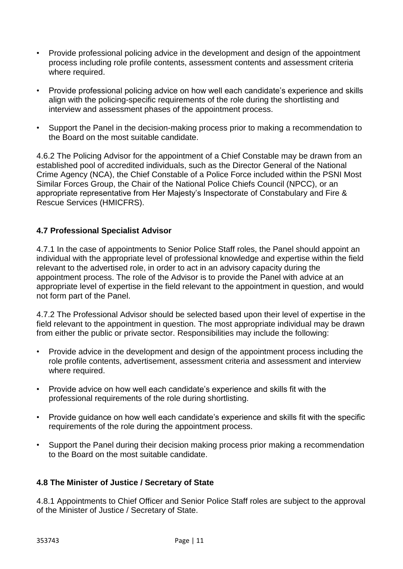- Provide professional policing advice in the development and design of the appointment process including role profile contents, assessment contents and assessment criteria where required.
- Provide professional policing advice on how well each candidate's experience and skills align with the policing-specific requirements of the role during the shortlisting and interview and assessment phases of the appointment process.
- Support the Panel in the decision-making process prior to making a recommendation to the Board on the most suitable candidate.

4.6.2 The Policing Advisor for the appointment of a Chief Constable may be drawn from an established pool of accredited individuals, such as the Director General of the National Crime Agency (NCA), the Chief Constable of a Police Force included within the PSNI Most Similar Forces Group, the Chair of the National Police Chiefs Council (NPCC), or an appropriate representative from Her Majesty's Inspectorate of Constabulary and Fire & Rescue Services (HMICFRS).

#### <span id="page-10-0"></span>**4.7 Professional Specialist Advisor**

4.7.1 In the case of appointments to Senior Police Staff roles, the Panel should appoint an individual with the appropriate level of professional knowledge and expertise within the field relevant to the advertised role, in order to act in an advisory capacity during the appointment process. The role of the Advisor is to provide the Panel with advice at an appropriate level of expertise in the field relevant to the appointment in question, and would not form part of the Panel.

4.7.2 The Professional Advisor should be selected based upon their level of expertise in the field relevant to the appointment in question. The most appropriate individual may be drawn from either the public or private sector. Responsibilities may include the following:

- Provide advice in the development and design of the appointment process including the role profile contents, advertisement, assessment criteria and assessment and interview where required.
- Provide advice on how well each candidate's experience and skills fit with the professional requirements of the role during shortlisting.
- Provide guidance on how well each candidate's experience and skills fit with the specific requirements of the role during the appointment process.
- Support the Panel during their decision making process prior making a recommendation to the Board on the most suitable candidate.

#### <span id="page-10-1"></span>**4.8 The Minister of Justice / Secretary of State**

4.8.1 Appointments to Chief Officer and Senior Police Staff roles are subject to the approval of the Minister of Justice / Secretary of State.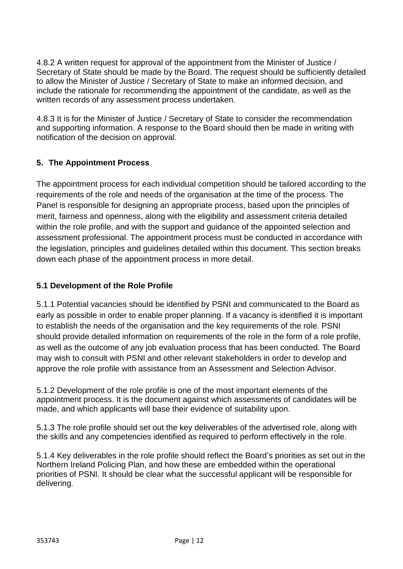4.8.2 A written request for approval of the appointment from the Minister of Justice / Secretary of State should be made by the Board. The request should be sufficiently detailed to allow the Minister of Justice / Secretary of State to make an informed decision, and include the rationale for recommending the appointment of the candidate, as well as the written records of any assessment process undertaken.

4.8.3 It is for the Minister of Justice / Secretary of State to consider the recommendation and supporting information. A response to the Board should then be made in writing with notification of the decision on approval.

#### <span id="page-11-0"></span>**5. The Appointment Process**

The appointment process for each individual competition should be tailored according to the requirements of the role and needs of the organisation at the time of the process. The Panel is responsible for designing an appropriate process, based upon the principles of merit, fairness and openness, along with the eligibility and assessment criteria detailed within the role profile, and with the support and guidance of the appointed selection and assessment professional. The appointment process must be conducted in accordance with the legislation, principles and guidelines detailed within this document. This section breaks down each phase of the appointment process in more detail.

#### <span id="page-11-1"></span>**5.1 Development of the Role Profile**

5.1.1 Potential vacancies should be identified by PSNI and communicated to the Board as early as possible in order to enable proper planning. If a vacancy is identified it is important to establish the needs of the organisation and the key requirements of the role. PSNI should provide detailed information on requirements of the role in the form of a role profile, as well as the outcome of any job evaluation process that has been conducted. The Board may wish to consult with PSNI and other relevant stakeholders in order to develop and approve the role profile with assistance from an Assessment and Selection Advisor.

5.1.2 Development of the role profile is one of the most important elements of the appointment process. It is the document against which assessments of candidates will be made, and which applicants will base their evidence of suitability upon.

5.1.3 The role profile should set out the key deliverables of the advertised role, along with the skills and any competencies identified as required to perform effectively in the role.

5.1.4 Key deliverables in the role profile should reflect the Board's priorities as set out in the Northern Ireland Policing Plan, and how these are embedded within the operational priorities of PSNI. It should be clear what the successful applicant will be responsible for delivering.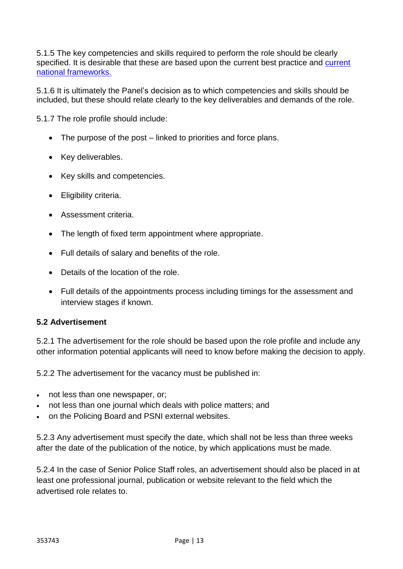5.1.5 The key competencies and skills required to perform the role should be clearly specified. It is desirable that these are based upon the current best practice and [current](http://www.college.police.uk/What-we-do/Development/competency-and-values-framework/Pages/Competency-and-Values-framework.aspx)  [national frameworks.](http://www.college.police.uk/What-we-do/Development/competency-and-values-framework/Pages/Competency-and-Values-framework.aspx)

5.1.6 It is ultimately the Panel's decision as to which competencies and skills should be included, but these should relate clearly to the key deliverables and demands of the role.

5.1.7 The role profile should include:

- The purpose of the post linked to priorities and force plans.
- Key deliverables.
- Key skills and competencies.
- Eligibility criteria.
- Assessment criteria.
- The length of fixed term appointment where appropriate.
- Full details of salary and benefits of the role.
- Details of the location of the role.
- Full details of the appointments process including timings for the assessment and interview stages if known.

#### <span id="page-12-0"></span>**5.2 Advertisement**

5.2.1 The advertisement for the role should be based upon the role profile and include any other information potential applicants will need to know before making the decision to apply.

5.2.2 The advertisement for the vacancy must be published in:

- not less than one newspaper, or;
- not less than one journal which deals with police matters; and
- on the Policing Board and PSNI external websites.

5.2.3 Any advertisement must specify the date, which shall not be less than three weeks after the date of the publication of the notice, by which applications must be made.

5.2.4 In the case of Senior Police Staff roles, an advertisement should also be placed in at least one professional journal, publication or website relevant to the field which the advertised role relates to.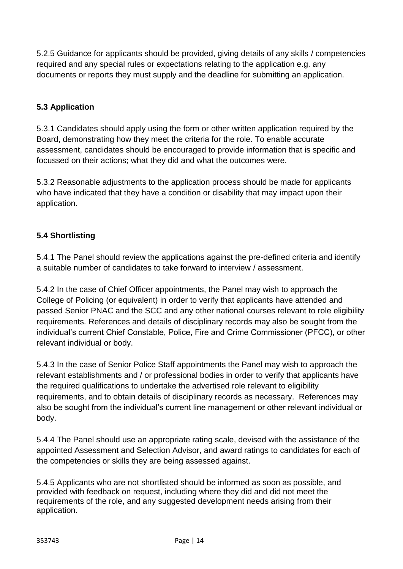5.2.5 Guidance for applicants should be provided, giving details of any skills / competencies required and any special rules or expectations relating to the application e.g. any documents or reports they must supply and the deadline for submitting an application.

#### <span id="page-13-0"></span>**5.3 Application**

5.3.1 Candidates should apply using the form or other written application required by the Board, demonstrating how they meet the criteria for the role. To enable accurate assessment, candidates should be encouraged to provide information that is specific and focussed on their actions; what they did and what the outcomes were.

5.3.2 Reasonable adjustments to the application process should be made for applicants who have indicated that they have a condition or disability that may impact upon their application.

### <span id="page-13-1"></span>**5.4 Shortlisting**

5.4.1 The Panel should review the applications against the pre-defined criteria and identify a suitable number of candidates to take forward to interview / assessment.

5.4.2 In the case of Chief Officer appointments, the Panel may wish to approach the College of Policing (or equivalent) in order to verify that applicants have attended and passed Senior PNAC and the SCC and any other national courses relevant to role eligibility requirements. References and details of disciplinary records may also be sought from the individual's current Chief Constable, Police, Fire and Crime Commissioner (PFCC), or other relevant individual or body.

5.4.3 In the case of Senior Police Staff appointments the Panel may wish to approach the relevant establishments and / or professional bodies in order to verify that applicants have the required qualifications to undertake the advertised role relevant to eligibility requirements, and to obtain details of disciplinary records as necessary. References may also be sought from the individual's current line management or other relevant individual or body.

5.4.4 The Panel should use an appropriate rating scale, devised with the assistance of the appointed Assessment and Selection Advisor, and award ratings to candidates for each of the competencies or skills they are being assessed against.

5.4.5 Applicants who are not shortlisted should be informed as soon as possible, and provided with feedback on request, including where they did and did not meet the requirements of the role, and any suggested development needs arising from their application.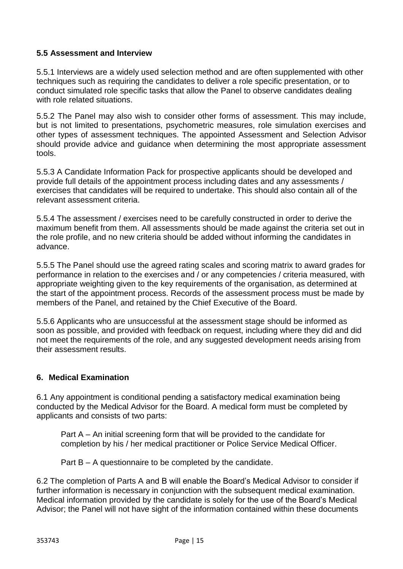#### <span id="page-14-0"></span>**5.5 Assessment and Interview**

5.5.1 Interviews are a widely used selection method and are often supplemented with other techniques such as requiring the candidates to deliver a role specific presentation, or to conduct simulated role specific tasks that allow the Panel to observe candidates dealing with role related situations.

5.5.2 The Panel may also wish to consider other forms of assessment. This may include, but is not limited to presentations, psychometric measures, role simulation exercises and other types of assessment techniques. The appointed Assessment and Selection Advisor should provide advice and guidance when determining the most appropriate assessment tools.

5.5.3 A Candidate Information Pack for prospective applicants should be developed and provide full details of the appointment process including dates and any assessments / exercises that candidates will be required to undertake. This should also contain all of the relevant assessment criteria.

5.5.4 The assessment / exercises need to be carefully constructed in order to derive the maximum benefit from them. All assessments should be made against the criteria set out in the role profile, and no new criteria should be added without informing the candidates in advance.

5.5.5 The Panel should use the agreed rating scales and scoring matrix to award grades for performance in relation to the exercises and / or any competencies / criteria measured, with appropriate weighting given to the key requirements of the organisation, as determined at the start of the appointment process. Records of the assessment process must be made by members of the Panel, and retained by the Chief Executive of the Board.

5.5.6 Applicants who are unsuccessful at the assessment stage should be informed as soon as possible, and provided with feedback on request, including where they did and did not meet the requirements of the role, and any suggested development needs arising from their assessment results.

#### <span id="page-14-1"></span>**6. Medical Examination**

6.1 Any appointment is conditional pending a satisfactory medical examination being conducted by the Medical Advisor for the Board. A medical form must be completed by applicants and consists of two parts:

Part A – An initial screening form that will be provided to the candidate for completion by his / her medical practitioner or Police Service Medical Officer.

Part B – A questionnaire to be completed by the candidate.

6.2 The completion of Parts A and B will enable the Board's Medical Advisor to consider if further information is necessary in conjunction with the subsequent medical examination. Medical information provided by the candidate is solely for the use of the Board's Medical Advisor; the Panel will not have sight of the information contained within these documents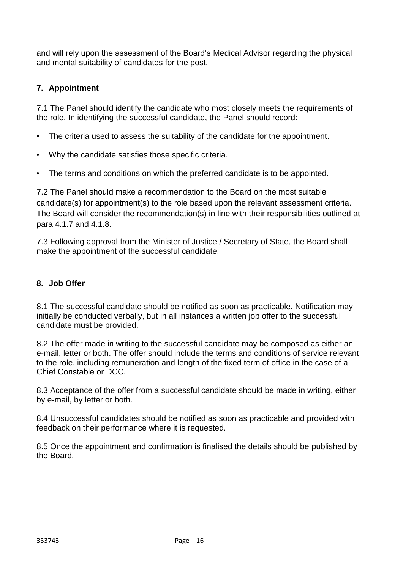and will rely upon the assessment of the Board's Medical Advisor regarding the physical and mental suitability of candidates for the post.

#### <span id="page-15-0"></span>**7. Appointment**

7.1 The Panel should identify the candidate who most closely meets the requirements of the role. In identifying the successful candidate, the Panel should record:

- The criteria used to assess the suitability of the candidate for the appointment.
- Why the candidate satisfies those specific criteria.
- The terms and conditions on which the preferred candidate is to be appointed.

7.2 The Panel should make a recommendation to the Board on the most suitable candidate(s) for appointment(s) to the role based upon the relevant assessment criteria. The Board will consider the recommendation(s) in line with their responsibilities outlined at para 4.1.7 and 4.1.8.

7.3 Following approval from the Minister of Justice / Secretary of State, the Board shall make the appointment of the successful candidate.

#### <span id="page-15-1"></span>**8. Job Offer**

8.1 The successful candidate should be notified as soon as practicable. Notification may initially be conducted verbally, but in all instances a written job offer to the successful candidate must be provided.

8.2 The offer made in writing to the successful candidate may be composed as either an e-mail, letter or both. The offer should include the terms and conditions of service relevant to the role, including remuneration and length of the fixed term of office in the case of a Chief Constable or DCC.

8.3 Acceptance of the offer from a successful candidate should be made in writing, either by e-mail, by letter or both.

8.4 Unsuccessful candidates should be notified as soon as practicable and provided with feedback on their performance where it is requested.

<span id="page-15-2"></span>8.5 Once the appointment and confirmation is finalised the details should be published by the Board.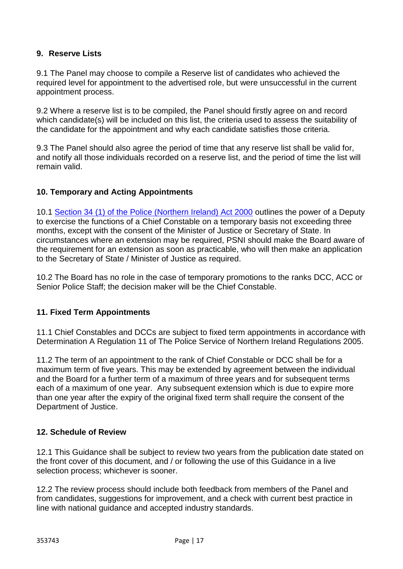#### **9. Reserve Lists**

9.1 The Panel may choose to compile a Reserve list of candidates who achieved the required level for appointment to the advertised role, but were unsuccessful in the current appointment process.

9.2 Where a reserve list is to be compiled, the Panel should firstly agree on and record which candidate(s) will be included on this list, the criteria used to assess the suitability of the candidate for the appointment and why each candidate satisfies those criteria.

9.3 The Panel should also agree the period of time that any reserve list shall be valid for, and notify all those individuals recorded on a reserve list, and the period of time the list will remain valid.

#### <span id="page-16-0"></span>**10. Temporary and Acting Appointments**

10.1 [Section 34 \(1\) of the Police \(Northern Ireland\) Act 2000](http://www.legislation.gov.uk/ukpga/2000/32/section/34) outlines the power of a Deputy to exercise the functions of a Chief Constable on a temporary basis not exceeding three months, except with the consent of the Minister of Justice or Secretary of State. In circumstances where an extension may be required, PSNI should make the Board aware of the requirement for an extension as soon as practicable, who will then make an application to the Secretary of State / Minister of Justice as required.

10.2 The Board has no role in the case of temporary promotions to the ranks DCC, ACC or Senior Police Staff; the decision maker will be the Chief Constable.

#### <span id="page-16-1"></span>**11. Fixed Term Appointments**

11.1 Chief Constables and DCCs are subject to fixed term appointments in accordance with Determination A Regulation 11 of The Police Service of Northern Ireland Regulations 2005.

11.2 The term of an appointment to the rank of Chief Constable or DCC shall be for a maximum term of five years. This may be extended by agreement between the individual and the Board for a further term of a maximum of three years and for subsequent terms each of a maximum of one year. Any subsequent extension which is due to expire more than one year after the expiry of the original fixed term shall require the consent of the Department of Justice.

#### <span id="page-16-2"></span>**12. Schedule of Review**

12.1 This Guidance shall be subject to review two years from the publication date stated on the front cover of this document, and / or following the use of this Guidance in a live selection process; whichever is sooner.

12.2 The review process should include both feedback from members of the Panel and from candidates, suggestions for improvement, and a check with current best practice in line with national guidance and accepted industry standards.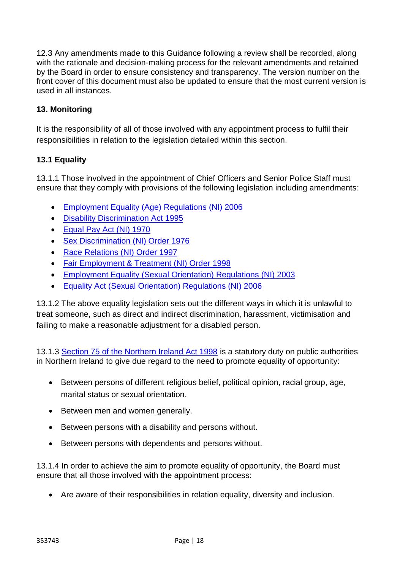12.3 Any amendments made to this Guidance following a review shall be recorded, along with the rationale and decision-making process for the relevant amendments and retained by the Board in order to ensure consistency and transparency. The version number on the front cover of this document must also be updated to ensure that the most current version is used in all instances.

#### <span id="page-17-0"></span>**13. Monitoring**

It is the responsibility of all of those involved with any appointment process to fulfil their responsibilities in relation to the legislation detailed within this section.

#### <span id="page-17-1"></span>**13.1 Equality**

13.1.1 Those involved in the appointment of Chief Officers and Senior Police Staff must ensure that they comply with provisions of the following legislation including amendments:

- [Employment Equality \(Age\) Regulations \(NI\) 2006](http://www.legislation.gov.uk/nisr/2006/261/contents/made)
- [Disability Discrimination Act 1995](http://www.legislation.gov.uk/ukpga/1995/50/contents)
- [Equal Pay Act \(NI\) 1970](https://www.legislation.gov.uk/apni/1970/32/contents)
- [Sex Discrimination \(NI\) Order 1976](https://www.legislation.gov.uk/nisi/1976/1042/contents)
- [Race Relations \(NI\) Order 1997](http://www.legislation.gov.uk/nisi/1997/869/contents)
- [Fair Employment & Treatment \(NI\) Order 1998](http://www.legislation.gov.uk/nisi/1998/3162/contents/made)
- [Employment Equality \(Sexual Orientation\) Regulations \(NI\) 2003](http://www.legislation.gov.uk/nisr/2003/497/contents/made)
- [Equality Act \(Sexual Orientation\) Regulations \(NI\) 2006](http://www.legislation.gov.uk/nisr/2006/439/contents/made)

13.1.2 The above equality legislation sets out the different ways in which it is unlawful to treat someone, such as direct and indirect discrimination, harassment, victimisation and failing to make a reasonable adjustment for a disabled person.

13.1.3 [Section 75 of the Northern Ireland Act 1998](https://www.legislation.gov.uk/ukpga/1998/47/section/75) is a statutory duty on public authorities in Northern Ireland to give due regard to the need to promote equality of opportunity:

- Between persons of different religious belief, political opinion, racial group, age, marital status or sexual orientation.
- Between men and women generally.
- Between persons with a disability and persons without.
- Between persons with dependents and persons without.

13.1.4 In order to achieve the aim to promote equality of opportunity, the Board must ensure that all those involved with the appointment process:

Are aware of their responsibilities in relation equality, diversity and inclusion.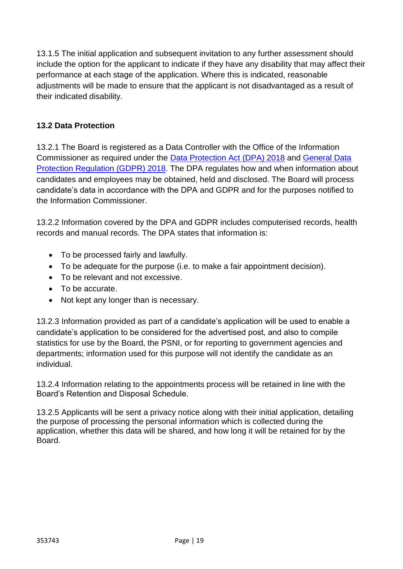13.1.5 The initial application and subsequent invitation to any further assessment should include the option for the applicant to indicate if they have any disability that may affect their performance at each stage of the application. Where this is indicated, reasonable adjustments will be made to ensure that the applicant is not disadvantaged as a result of their indicated disability.

#### <span id="page-18-0"></span>**13.2 Data Protection**

13.2.1 The Board is registered as a Data Controller with the Office of the Information Commissioner as required under the [Data Protection Act \(DPA\) 2018](http://www.legislation.gov.uk/ukpga/2018/12/contents/enacted) and [General Data](https://www.gov.uk/government/publications/guide-to-the-general-data-protection-regulation)  [Protection Regulation \(GDPR\) 2018.](https://www.gov.uk/government/publications/guide-to-the-general-data-protection-regulation) The DPA regulates how and when information about candidates and employees may be obtained, held and disclosed. The Board will process candidate's data in accordance with the DPA and GDPR and for the purposes notified to the Information Commissioner.

13.2.2 Information covered by the DPA and GDPR includes computerised records, health records and manual records. The DPA states that information is:

- To be processed fairly and lawfully.
- To be adequate for the purpose (i.e. to make a fair appointment decision).
- To be relevant and not excessive.
- To be accurate.
- Not kept any longer than is necessary.

13.2.3 Information provided as part of a candidate's application will be used to enable a candidate's application to be considered for the advertised post, and also to compile statistics for use by the Board, the PSNI, or for reporting to government agencies and departments; information used for this purpose will not identify the candidate as an individual.

13.2.4 Information relating to the appointments process will be retained in line with the Board's Retention and Disposal Schedule.

13.2.5 Applicants will be sent a privacy notice along with their initial application, detailing the purpose of processing the personal information which is collected during the application, whether this data will be shared, and how long it will be retained for by the Board.